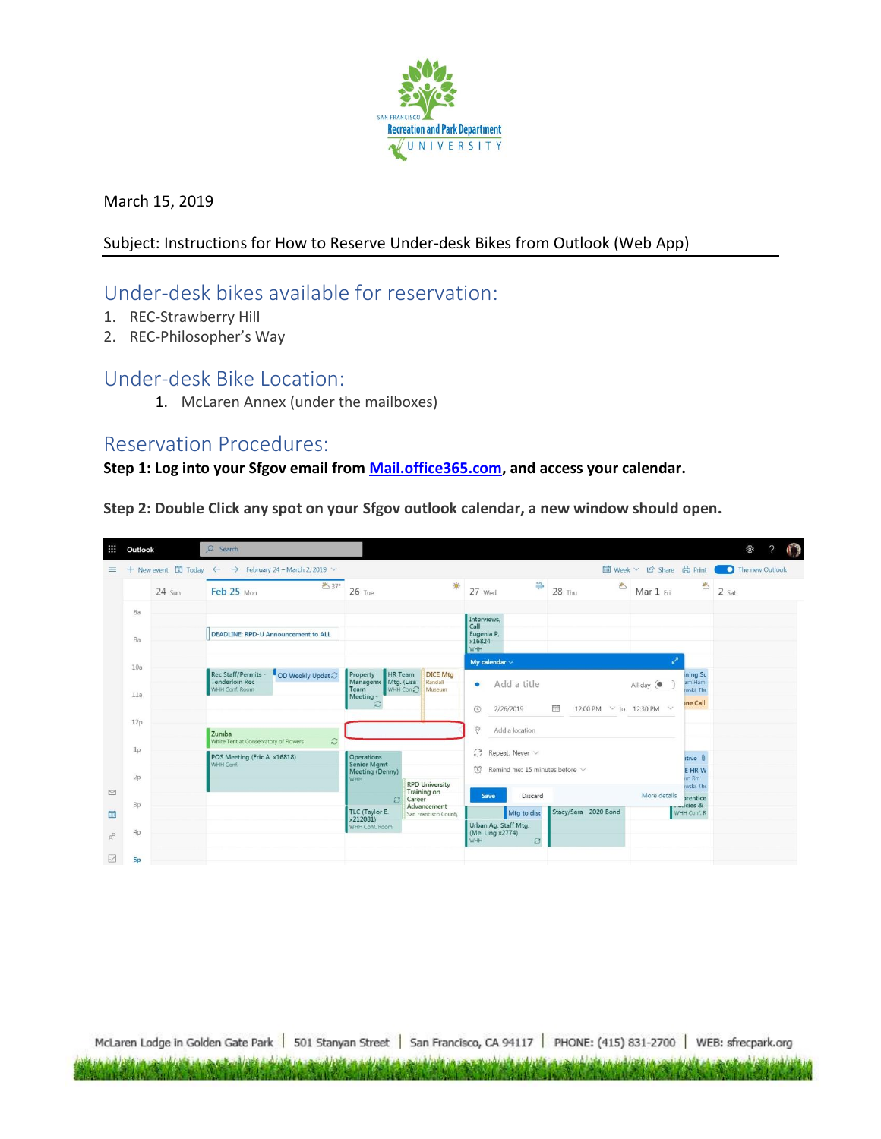

March 15, 2019

## Subject: Instructions for How to Reserve Under-desk Bikes from Outlook (Web App)

## Under-desk bikes available for reservation:

- 1. REC-Strawberry Hill
- 2. REC-Philosopher's Way

## Under-desk Bike Location:

1. McLaren Annex (under the mailboxes)

## Reservation Procedures:

**Step 1: Log into your Sfgov email fro[m Mail.office365.com,](https://www.office.com/) and access your calendar.**

**Step 2: Double Click any spot on your Sfgov outlook calendar, a new window should open.**

| ₩             | Outlook   |             | O Search                                                                            |                                                                                      | భ                                                                                                                |
|---------------|-----------|-------------|-------------------------------------------------------------------------------------|--------------------------------------------------------------------------------------|------------------------------------------------------------------------------------------------------------------|
| 亖             |           |             | + New event $\quad$ Today ← → February 24 - March 2, 2019 $\vee$                    |                                                                                      |                                                                                                                  |
|               |           | $24 \,$ Sun | ■37°<br>Feb 25 Mon                                                                  | 米<br>$26$ Tue                                                                        | 萼<br>齿<br>$\overline{2}$ Sat<br>27 Wed<br><b>28 Thu</b><br>Mar 1 Fri                                             |
|               | 8a        |             |                                                                                     |                                                                                      | Interviews,                                                                                                      |
|               | 9a        |             | DEADLINE: RPD-U Announcement to ALL                                                 |                                                                                      | Call<br>Eugenia P.<br>x16824<br>WHH                                                                              |
|               | 10a       |             | <b>Rec Staff/Permits</b>                                                            | HR Team<br><b>DICE Mtg</b><br>Property                                               | My calendar $\vee$<br>ning Su                                                                                    |
|               | 11a       |             | OD Weekly Updat<br><b>Tenderloin Rec</b><br>WHH Conf. Room                          | Manageme Mtg. (Lisa<br>Randall<br>WHH Con<br>Team<br>Museum<br>Meeting               | am Hami<br>Add a title<br>$\bullet$<br>All day (<br>wski, The                                                    |
|               | 12p       |             |                                                                                     | Э                                                                                    | ine Call<br>繭<br>12:00 PM $\vee$ to 12:30 PM $\vee$<br>$\odot$<br>2/26/2019                                      |
|               | 1p        |             | Zumba<br>G<br>White Tent at Conservatory of Flowers<br>POS Meeting (Eric A. x16818) | Operations                                                                           | $\Theta$<br>Add a location<br>$C$ Repeat: Never $\vee$<br>itive <b>B</b>                                         |
|               | 2p        |             | WHH Conf.                                                                           | <b>Senior Mgmt</b><br>Meeting (Denny)<br><b>WHH</b><br><b>RPD University</b>         | $\heartsuit$ Remind me: 15 minutes before $\vee$<br>E HR W<br>im Rm<br>wski, The                                 |
| $\Box$<br>贏   | 3p        |             |                                                                                     | Training on<br>C.<br>Career<br>Advancement<br>TLC (Taylor E.<br>San Francisco County | More details<br>Discard<br>Save<br>prentice<br>$$ cies &<br>Stacy/Sara - 2020 Bond<br>Mtg to disc<br>WHH Conf. R |
| $\mathcal{R}$ | 4p        |             |                                                                                     | x212081)<br>WHH Conf. Room                                                           | Urban Ag. Staff Mtg.<br>(Mei Ling x2774)<br>WHH                                                                  |
| V             | <b>Sp</b> |             |                                                                                     |                                                                                      | $\mathcal{Z}$                                                                                                    |

McLaren Lodge in Golden Gate Park | 501 Stanyan Street | San Francisco, CA 94117 | PHONE: (415) 831-2700 | WEB: sfrecpark.org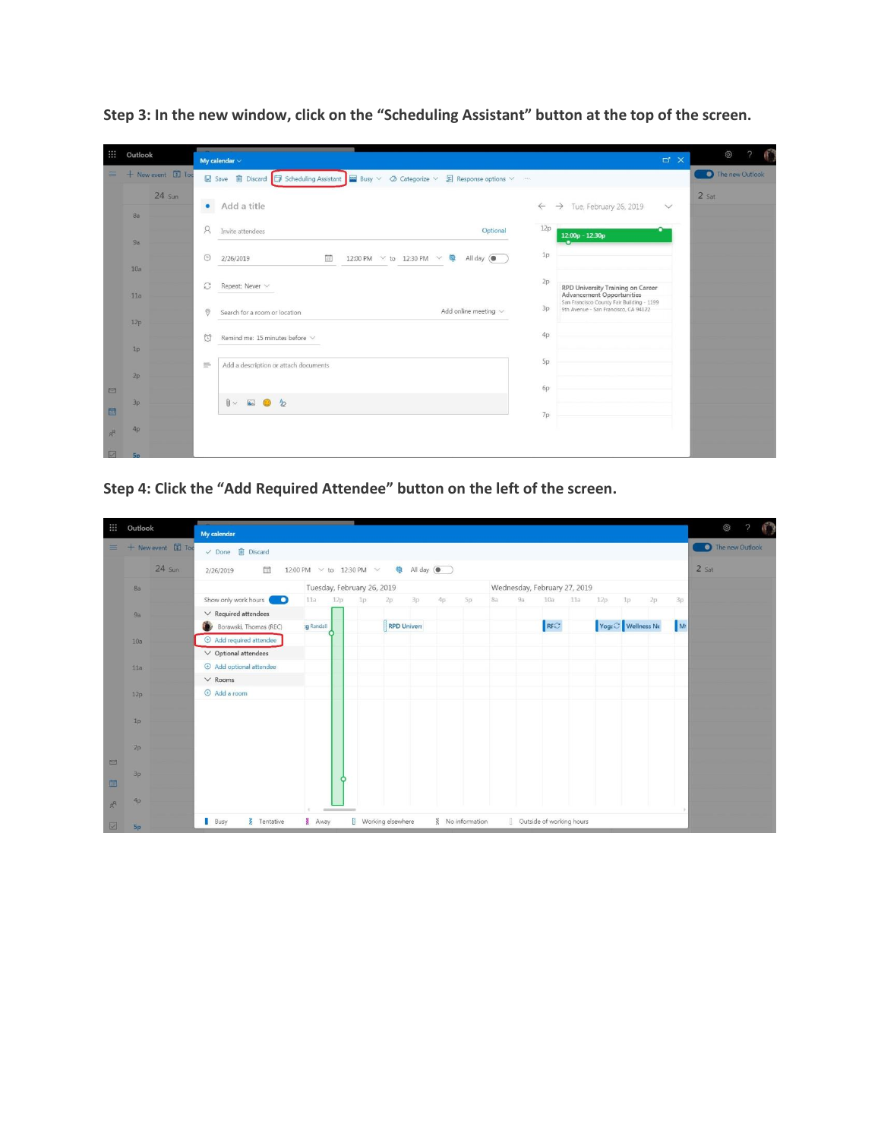| ∷      | Outlook                         |                                                                                                                  |                                                                                                                             |                 | ද්රි            |
|--------|---------------------------------|------------------------------------------------------------------------------------------------------------------|-----------------------------------------------------------------------------------------------------------------------------|-----------------|-----------------|
|        |                                 | My calendar $\vee$                                                                                               |                                                                                                                             | $\Box$ $\times$ |                 |
|        | $\equiv$ + New event $\Box$ Tod | <b>■</b> Save ■ Discard ■ Scheduling Assistant ■ Busy $\vee$ © Categorize $\vee$ ■ Response options $\vee$ · · · |                                                                                                                             |                 | The new Outlook |
|        | $24 \,$ Sun                     | $\bullet$<br>Add a title                                                                                         | $\rightarrow$ Tue, February 26, 2019<br>$\leftarrow$                                                                        | $\vee$          | $2$ Sat         |
|        | 8a                              |                                                                                                                  |                                                                                                                             |                 |                 |
|        | 9a                              | <sub>R</sub><br>Optional<br>Invite attendees                                                                     | 12p<br>12:00p - 12:30p                                                                                                      |                 |                 |
|        | 10a                             | $\odot$<br>2/26/2019<br>圃<br>12:00 PM $\vee$ to 12:30 PM $\vee$ <sup>®</sup><br>All day (                        | 1p                                                                                                                          |                 |                 |
|        |                                 | S<br>Repeat: Never $\vee$                                                                                        | 2p<br>RPD University Training on Career                                                                                     |                 |                 |
|        | 11a                             | Add online meeting $\vee$<br>$\Theta$<br>Search for a room or location                                           | <b>Advancement Opportunities</b><br>San Francisco County Fair Building - 1199<br>3p<br>9th Avenue - San Francisco, CA 94122 |                 |                 |
|        | 12p                             | Remind me: 15 minutes before $\vee$<br>四                                                                         | 40 <sup>°</sup>                                                                                                             |                 |                 |
|        | 1p                              |                                                                                                                  |                                                                                                                             |                 |                 |
|        | 2 <sub>D</sub>                  | $\equiv$<br>Add a description or attach documents                                                                | Sp.                                                                                                                         |                 |                 |
| $\Box$ |                                 |                                                                                                                  | 6p                                                                                                                          |                 |                 |
| 画      | 3p                              | $\mathbb{R}$ & $\mathbb{R}$                                                                                      | 7p                                                                                                                          |                 |                 |
| R      | 4p                              |                                                                                                                  |                                                                                                                             |                 |                 |
|        |                                 |                                                                                                                  |                                                                                                                             |                 |                 |

**Step 3: In the new window, click on the "Scheduling Assistant" button at the top of the screen.**

**Step 4: Click the "Add Required Attendee" button on the left of the screen.**

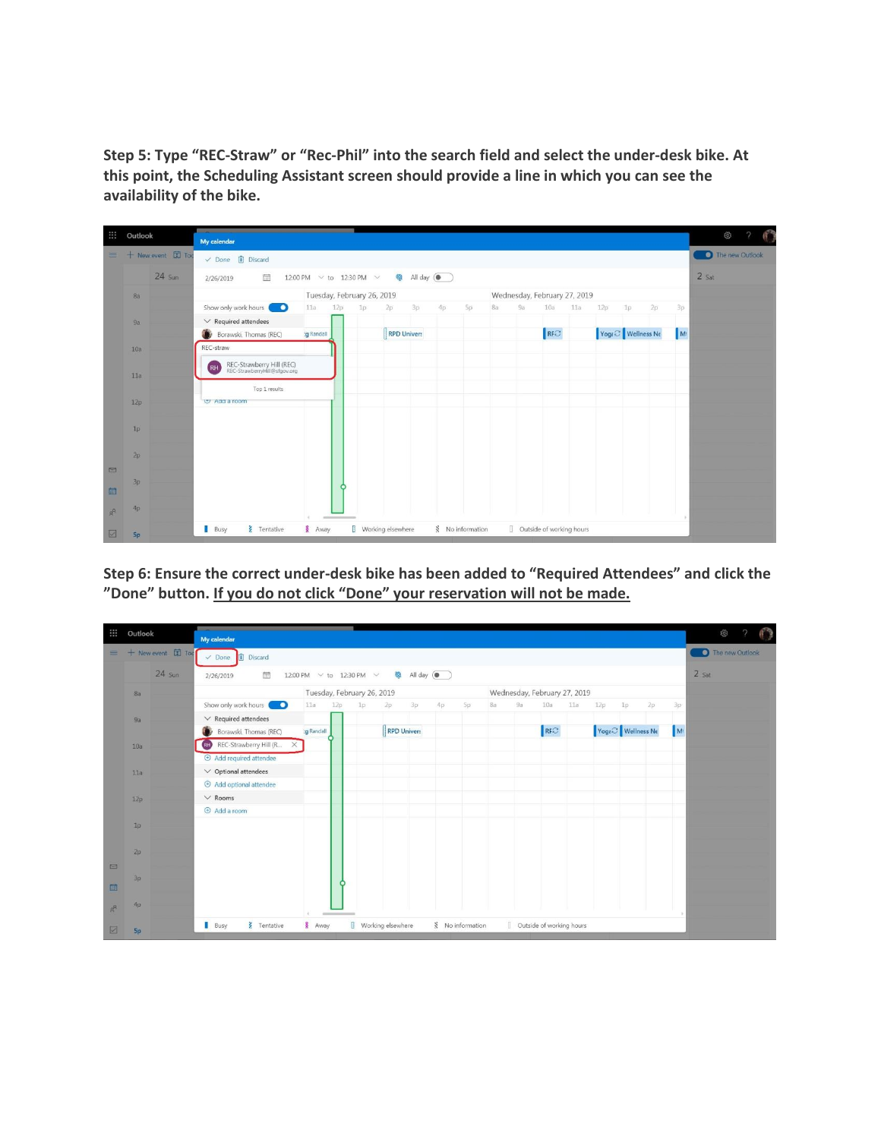**Step 5: Type "REC-Straw" or "Rec-Phil" into the search field and select the under-desk bike. At this point, the Scheduling Assistant screen should provide a line in which you can see the availability of the bike.**

| ₩        | Outlook                                                             |                          | My calendar                                                            |                            |           |                    |                              |                              |    |                          |     |     |                               |          | සි    |  |
|----------|---------------------------------------------------------------------|--------------------------|------------------------------------------------------------------------|----------------------------|-----------|--------------------|------------------------------|------------------------------|----|--------------------------|-----|-----|-------------------------------|----------|-------|--|
| $\equiv$ |                                                                     | + New event <b>国</b> Too | $\vee$ Done $\Box$ Discard                                             |                            |           |                    |                              |                              |    |                          |     |     | The new Outlook               |          |       |  |
|          | $24 \,$ Sun<br>間<br>12:00 PM $\sim$ to 12:30 PM $\sim$<br>2/26/2019 |                          |                                                                        |                            | All day ( |                    |                              |                              |    |                          |     |     |                               |          | 2 Sat |  |
|          | <b>8a</b>                                                           |                          |                                                                        | Tuesday, February 26, 2019 |           |                    |                              | Wednesday, February 27, 2019 |    |                          |     |     |                               |          |       |  |
|          |                                                                     |                          | Show only work hours<br>o                                              | 11a<br>12p                 | Ip        | 2p<br>3p           | 4p                           | 8a<br>Sp                     | 9a | 10a                      | 11a | 12p | 1p                            | 2p<br>3p |       |  |
|          | 9a                                                                  |                          | $\vee$ Required attendees                                              |                            |           |                    |                              |                              |    |                          |     |     |                               |          |       |  |
|          |                                                                     |                          | Borawski, Thomas (REC)                                                 | :g Randall                 |           | <b>RPD Univers</b> |                              |                              |    | RFC                      |     |     | Yoga <sup>2</sup> Wellness No | M        |       |  |
|          | 10a                                                                 |                          | REC-straw                                                              |                            |           |                    |                              |                              |    |                          |     |     |                               |          |       |  |
|          | 11a                                                                 |                          | REC-Strawberry Hill (REC)<br>REC-StrawberryHill@sfgov.org<br><b>RH</b> |                            |           |                    |                              |                              |    |                          |     |     |                               |          |       |  |
|          | 12p                                                                 |                          | Top 1 results<br>U Add a room                                          |                            |           |                    |                              |                              |    |                          |     |     |                               |          |       |  |
|          | 1p                                                                  |                          |                                                                        |                            |           |                    |                              |                              |    |                          |     |     |                               |          |       |  |
|          | 2p                                                                  |                          |                                                                        |                            |           |                    |                              |                              |    |                          |     |     |                               |          |       |  |
| $\Box$   |                                                                     |                          |                                                                        |                            |           |                    |                              |                              |    |                          |     |     |                               |          |       |  |
| 画        | 3p                                                                  |                          |                                                                        | O                          |           |                    |                              |                              |    |                          |     |     |                               |          |       |  |
| $x^8$    | 4p                                                                  |                          |                                                                        |                            |           |                    |                              |                              |    |                          |     |     |                               |          |       |  |
| 図        | Sp.                                                                 |                          | <b>Z</b> Tentative<br><b>Busy</b>                                      | Away                       |           | Working elsewhere  | $\frac{8}{5}$ No information |                              |    | Outside of working hours |     |     |                               |          |       |  |

**Step 6: Ensure the correct under-desk bike has been added to "Required Attendees" and click the "Done" button. If you do not click "Done" your reservation will not be made.**

| m      | Outlook   |                                 | My calendar                                                                                             |                                                         |                            |    |                    |    |    |                              |    |     |     |                 |                               |    |                | ශ |  |
|--------|-----------|---------------------------------|---------------------------------------------------------------------------------------------------------|---------------------------------------------------------|----------------------------|----|--------------------|----|----|------------------------------|----|-----|-----|-----------------|-------------------------------|----|----------------|---|--|
|        |           | $\equiv$ + New event $\Box$ Too | <b>I</b> II Discard<br>$\vee$ Done                                                                      |                                                         |                            |    |                    |    |    |                              |    |     |     | The new Outlook |                               |    |                |   |  |
|        |           | $24$ Sun                        | 扁<br>2/26/2019                                                                                          | All day (<br>12:00 PM $\sqrt{ }$ to 12:30 PM $\sqrt{ }$ |                            |    |                    |    |    |                              |    |     |     | $2$ Sat         |                               |    |                |   |  |
|        | <b>8a</b> |                                 |                                                                                                         |                                                         | Tuesday, February 26, 2019 |    |                    |    |    | Wednesday, February 27, 2019 |    |     |     |                 |                               |    |                |   |  |
|        |           |                                 | Show only work hours<br><b>D</b>                                                                        | 11a                                                     | 12p                        | 1p | 3p<br>2p           | 4p | Sp | 8a                           | 9a | 10a | 11a | 12p             | 1p                            | 2p | 3p             |   |  |
|        | 9a        |                                 | $\vee$ Required attendees                                                                               |                                                         |                            |    |                    |    |    |                              |    |     |     |                 |                               |    |                |   |  |
|        |           |                                 | Borawski, Thomas (REC)                                                                                  | :g Randall                                              |                            |    | <b>RPD Univer:</b> |    |    |                              |    | RFC |     |                 | Yoga <sup>C</sup> Wellness No |    | M <sup>†</sup> |   |  |
|        | 10a       |                                 | REC-Strawberry Hill (R<br>$\times$                                                                      |                                                         |                            |    |                    |    |    |                              |    |     |     |                 |                               |    |                |   |  |
|        |           |                                 | $\oplus$ Add required attendee                                                                          |                                                         |                            |    |                    |    |    |                              |    |     |     |                 |                               |    |                |   |  |
|        | 11a       |                                 | $\vee$ Optional attendees                                                                               |                                                         |                            |    |                    |    |    |                              |    |     |     |                 |                               |    |                |   |  |
|        |           |                                 | $\oplus$ Add optional attendee                                                                          |                                                         |                            |    |                    |    |    |                              |    |     |     |                 |                               |    |                |   |  |
|        | 12p       |                                 | $\vee$ Rooms                                                                                            |                                                         |                            |    |                    |    |    |                              |    |     |     |                 |                               |    |                |   |  |
|        |           |                                 | $\odot$ Add a room                                                                                      |                                                         |                            |    |                    |    |    |                              |    |     |     |                 |                               |    |                |   |  |
|        | 1p        |                                 |                                                                                                         |                                                         |                            |    |                    |    |    |                              |    |     |     |                 |                               |    |                |   |  |
|        |           |                                 |                                                                                                         |                                                         |                            |    |                    |    |    |                              |    |     |     |                 |                               |    |                |   |  |
|        | 2p        |                                 |                                                                                                         |                                                         |                            |    |                    |    |    |                              |    |     |     |                 |                               |    |                |   |  |
| $\Box$ |           |                                 |                                                                                                         |                                                         |                            |    |                    |    |    |                              |    |     |     |                 |                               |    |                |   |  |
|        | 3p        |                                 |                                                                                                         |                                                         |                            |    |                    |    |    |                              |    |     |     |                 |                               |    |                |   |  |
| 圖      |           |                                 |                                                                                                         |                                                         |                            |    |                    |    |    |                              |    |     |     |                 |                               |    |                |   |  |
| $x^2$  | .4p       |                                 |                                                                                                         |                                                         |                            |    |                    |    |    |                              |    |     |     |                 |                               |    |                |   |  |
| ☑      | Sp        |                                 | Working elsewhere<br>Busy<br>& Away<br><b>Z</b> Tentative<br>No information<br>Outside of working hours |                                                         |                            |    |                    |    |    |                              |    |     |     |                 |                               |    |                |   |  |